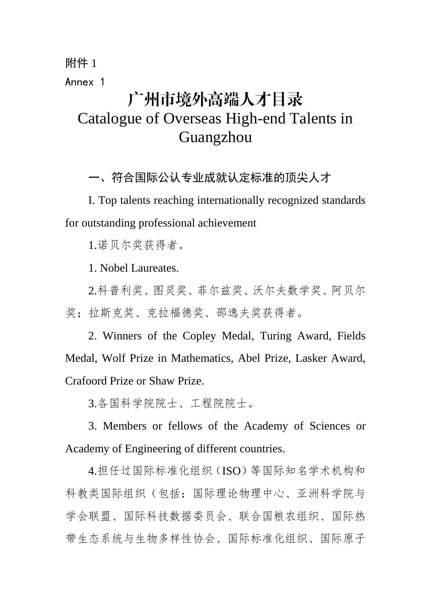## 附件 1 Annex 1 广州市境外高端人才目录 Catalogue of Overseas High-end Talents in Guangzhou

一、符合国际公认专业成就认定标准的顶尖人才

I. Top talents reaching internationally recognized standards for outstanding professional achievement

1.诺贝尔奖获得者。

1. Nobel Laureates.

2.科普利奖、图灵奖、菲尔兹奖、沃尔夫数学奖、阿贝尔 奖: 拉斯克奖、克拉福德奖、邵逸夫奖获得者。

2. Winners of the Copley Medal, Turing Award, Fields Medal, Wolf Prize in Mathematics, Abel Prize, Lasker Award, Crafoord Prize or Shaw Prize.

3.各国科学院院士、工程院院士。

3. Members or fellows of the Academy of Sciences or Academy of Engineering of different countries.

4.担任过国际标准化组织(ISO)等国际知名学术机构和 科教类国际组织(包括[:国际理论物理中心、亚洲科学院与](http://www.bic.cas.cn/gjzz/201307/t20130719_3902672.html) [学会联盟、国际科技数据委员会、](http://www.bic.cas.cn/gjzz/201307/t20130719_3902690.html)[联合国粮农组织、国际热](http://www.bic.cas.cn/gjzz/201307/t20130719_3902742.html) [带生态系统与生物多样性协会、国际标准化组织](http://www.bic.cas.cn/gjzz/201307/t20130719_3902754.html)[、国际原子](http://www.bic.cas.cn/gjzz/201307/t20130719_3902804.html)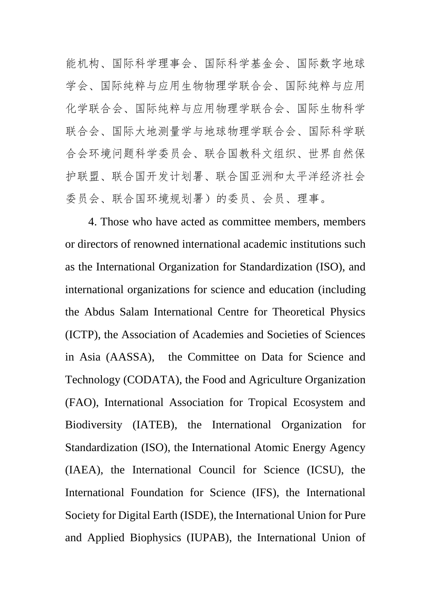[能机构、国际科学理事会、](http://www.bic.cas.cn/gjzz/201307/t20130719_3902804.html)[国际科学基金会、国际数字地球](http://www.bic.cas.cn/gjzz/201307/t20130719_3902807.html) [学会、国际纯粹与应用生物物理学联合会、](http://www.bic.cas.cn/gjzz/201307/t20130719_3902811.html)[国际纯粹与应用](http://www.bic.cas.cn/gjzz/201307/t20130719_3902819.html) [化学联合会](http://www.bic.cas.cn/gjzz/201307/t20130719_3902819.html)[、国际纯粹与应用物理学联合会](http://www.bic.cas.cn/gjzz/201307/t20130719_3902824.html)[、国际生物科学](http://www.bic.cas.cn/gjzz/201307/t20130719_3902834.html) [联合会](http://www.bic.cas.cn/gjzz/201307/t20130719_3902834.html)[、国际大地测量学与地球物理学联合会](http://www.bic.cas.cn/gjzz/201307/t20130719_3902837.html)[、国际科学联](http://www.bic.cas.cn/gjzz/201410/t20141008_4220000.html) [合会环境问题科学委员会](http://www.bic.cas.cn/gjzz/201410/t20141008_4220000.html)[、联合国教科文组织](http://www.bic.cas.cn/gjzz/201410/t20141008_4220007.html)[、世界自然保](http://www.bic.cas.cn/gjzz/201410/t20141008_4220009.html) [护联盟](http://www.bic.cas.cn/gjzz/201410/t20141008_4220009.html)[、联合国开发计划署](http://www.bic.cas.cn/gjzz/201410/t20141008_4220012.html)[、联合国亚洲和太平洋经济社会](http://www.bic.cas.cn/gjzz/201410/t20141008_4220016.html) [委员会](http://www.bic.cas.cn/gjzz/201410/t20141008_4220016.html)[、联合国环境规划署\)](http://www.bic.cas.cn/gjzz/201410/t20141008_4220018.html)的委员、会员、理事。

4. Those who have acted as committee members, members or directors of renowned international academic institutions such as the International Organization for Standardization (ISO), and international organizations for science and education (including the Abdus Salam International Centre for Theoretical Physics (ICTP), the Association of Academies and Societies of Sciences in Asia (AASSA), the Committee on Data for Science and Technology (CODATA), the Food and Agriculture Organization (FAO), International Association for Tropical Ecosystem and Biodiversity (IATEB), the International Organization for Standardization (ISO), the International Atomic Energy Agency (IAEA), the International Council for Science (ICSU), the International Foundation for Science (IFS), the International Society for Digital Earth (ISDE), the International Union for Pure and Applied Biophysics (IUPAB), the International Union of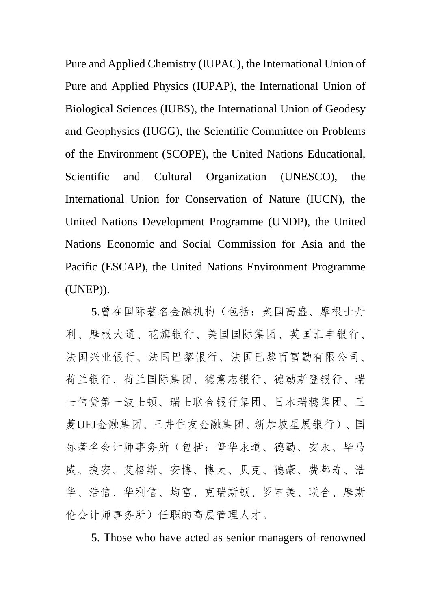Pure and Applied Chemistry (IUPAC), the International Union of Pure and Applied Physics (IUPAP), the International Union of Biological Sciences (IUBS), the International Union of Geodesy and Geophysics (IUGG), the Scientific Committee on Problems of the Environment (SCOPE), the United Nations Educational, Scientific and Cultural Organization (UNESCO), the International Union for Conservation of Nature (IUCN), the United Nations Development Programme (UNDP), the United Nations Economic and Social Commission for Asia and the Pacific (ESCAP), the United Nations Environment Programme (UNEP)).

5.曾在国际著名金融机构(包括:美国高盛、摩根士丹 利、摩根大通、花旗银行、美国国际集团、英国汇丰银行、 法国兴业银行、法国巴黎银行、法国巴黎百富勤有限公司、 荷兰银行、荷兰国际集团、德意志银行、德勒斯登银行、瑞 士信贷第一波士顿、瑞士联合银行集团、日本瑞穗集团、三 菱UFJ金融集团、三井住友金融集团、新加坡星展银行)、国 际著名会计师事务所(包括:普华永道、德勤、安永、毕马 威、捷安、艾格斯、安博、博太、贝克、德豪、费都寿、浩 华、浩信、华利信、均富、克瑞斯顿、罗申美、联合、摩斯 伦会计师事务所)任职的高层管理人才。

5. Those who have acted as senior managers of renowned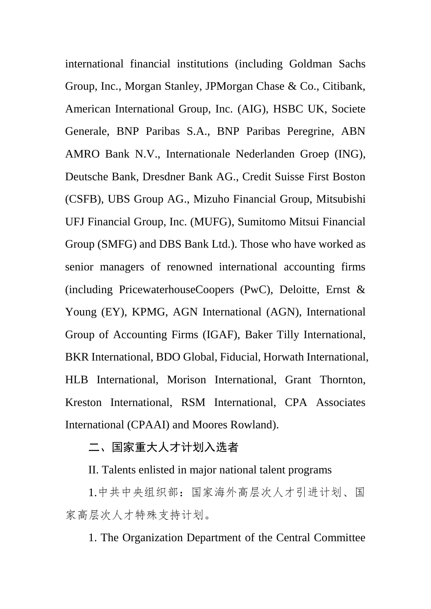international financial institutions (including Goldman Sachs Group, Inc., Morgan Stanley, JPMorgan Chase & Co., Citibank, American International Group, Inc. (AIG), HSBC UK, Societe Generale, BNP Paribas S.A., BNP Paribas Peregrine, ABN AMRO Bank N.V., Internationale Nederlanden Groep (ING), Deutsche Bank, Dresdner Bank AG., Credit Suisse First Boston (CSFB), UBS Group AG., Mizuho Financial Group, Mitsubishi UFJ Financial Group, Inc. (MUFG), Sumitomo Mitsui Financial Group (SMFG) and DBS Bank Ltd.). Those who have worked as senior managers of renowned international accounting firms (including PricewaterhouseCoopers (PwC), Deloitte, Ernst & Young (EY), KPMG, AGN International (AGN), International Group of Accounting Firms (IGAF), Baker Tilly International, BKR International, BDO Global, Fiducial, Horwath International, HLB International, Morison International, Grant Thornton, Kreston International, RSM International, CPA Associates International (CPAAI) and Moores Rowland).

## 二、国家重大人才计划入选者

II. Talents enlisted in major national talent programs

1.中共中央组织部:国家海外高层次人才引进计划、国 家高层次人才特殊支持计划。

1. The Organization Department of the Central Committee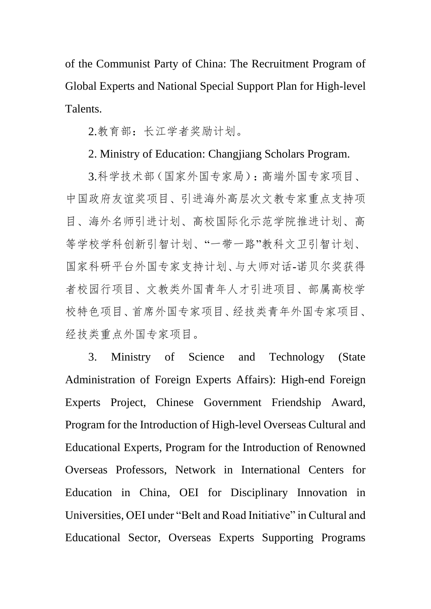of the Communist Party of China: The Recruitment Program of Global Experts and National Special Support Plan for High-level Talents.

2.教育部:长江学者奖励计划。

## 2. Ministry of Education: Changjiang Scholars Program.

3.科学技术部(国家外国专家局):高端外国专家项目、 中国政府友谊奖项目、引进海外高层次文教专家重点支持项 目、海外名师引进计划、高校国际化示范学院推进计划、高 等学校学科创新引智计划、"一带一路"教科文卫引智计划、 国家科研平台外国专家支持计划、与大师对话-诺贝尔奖获得 者校园行项目、文教类外国青年人才引进项目、部属高校学 校特色项目、首席外国专家项目、经技类青年外国专家项目、 经技类重点外国专家项目。

3. Ministry of Science and Technology (State Administration of Foreign Experts Affairs): High-end Foreign Experts Project, Chinese Government Friendship Award, Program for the Introduction of High-level Overseas Cultural and Educational Experts, Program for the Introduction of Renowned Overseas Professors, Network in International Centers for Education in China, OEI for Disciplinary Innovation in Universities, OEI under "Belt and Road Initiative" in Cultural and Educational Sector, Overseas Experts Supporting Programs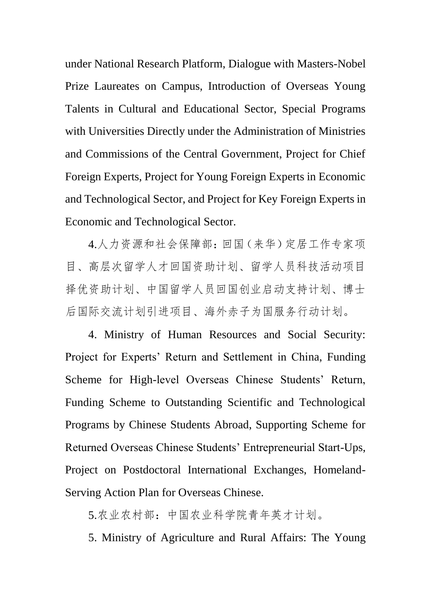under National Research Platform, Dialogue with Masters-Nobel Prize Laureates on Campus, Introduction of Overseas Young Talents in Cultural and Educational Sector, Special Programs with Universities Directly under the Administration of Ministries and Commissions of the Central Government, Project for Chief Foreign Experts, Project for Young Foreign Experts in Economic and Technological Sector, and Project for Key Foreign Experts in Economic and Technological Sector.

4.人力资源和社会保障部:回国(来华)定居工作专家项 目、高层次留学人才回国资助计划、留学人员科技活动项目 择优资助计划、中国留学人员回国创业启动支持计划、博士 后国际交流计划引进项目、海外赤子为国服务行动计划。

4. Ministry of Human Resources and Social Security: Project for Experts' Return and Settlement in China, Funding Scheme for High-level Overseas Chinese Students' Return, Funding Scheme to Outstanding Scientific and Technological Programs by Chinese Students Abroad, Supporting Scheme for Returned Overseas Chinese Students' Entrepreneurial Start-Ups, Project on Postdoctoral International Exchanges, Homeland-Serving Action Plan for Overseas Chinese.

5.农业农村部:中国农业科学院青年英才计划。

5. Ministry of Agriculture and Rural Affairs: The Young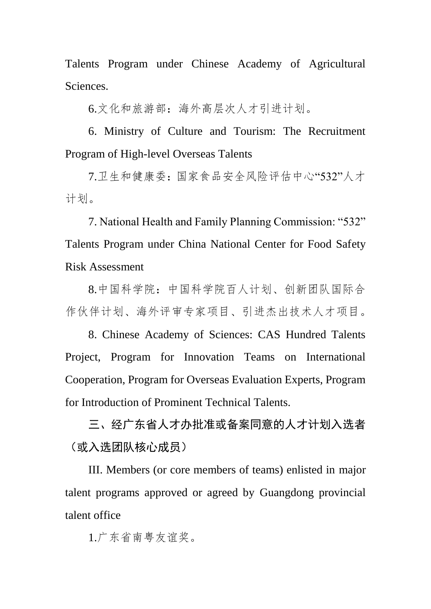Talents Program under Chinese Academy of Agricultural Sciences.

6.文化和旅游部:海外高层次人才引进计划。

6. Ministry of Culture and Tourism: The Recruitment Program of High-level Overseas Talents

7.卫生和健康委:国家食品安全风险评估中心"532"人才 计划。

7. National Health and Family Planning Commission: "532" Talents Program under China National Center for Food Safety Risk Assessment

8.中国科学院:中国科学院百人计划、创新团队国际合 作伙伴计划、海外评审专家项目、引进杰出技术人才项目。

8. Chinese Academy of Sciences: CAS Hundred Talents Project, Program for Innovation Teams on International Cooperation, Program for Overseas Evaluation Experts, Program for Introduction of Prominent Technical Talents.

三、经广东省人才办批准或备案同意的人才计划入选者 (或入选团队核心成员)

III. Members (or core members of teams) enlisted in major talent programs approved or agreed by Guangdong provincial talent office

1.广东省南粤友谊奖。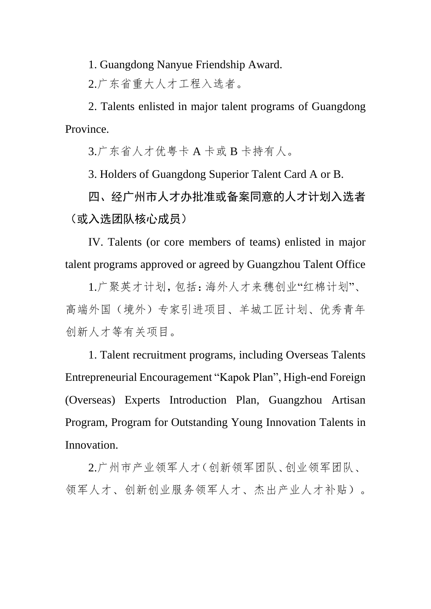1. Guangdong Nanyue Friendship Award.

2.广东省重大人才工程入选者。

2. Talents enlisted in major talent programs of Guangdong Province.

3.广东省人才优粤卡 A 卡或 B 卡持有人。

3. Holders of Guangdong Superior Talent Card A or B.

四、经广州市人才办批准或备案同意的人才计划入选者 (或入选团队核心成员)

IV. Talents (or core members of teams) enlisted in major talent programs approved or agreed by Guangzhou Talent Office

1.广聚英才计划,包括:海外人才来穗创业"红棉计划"、 高端外国(境外)专家引进项目、羊城工匠计划、优秀青年 创新人才等有关项目。

1. Talent recruitment programs, including Overseas Talents Entrepreneurial Encouragement "Kapok Plan", High-end Foreign (Overseas) Experts Introduction Plan, Guangzhou Artisan Program, Program for Outstanding Young Innovation Talents in Innovation.

2.广州市产业领军人才(创新领军团队、创业领军团队、 领军人才、创新创业服务领军人才、杰出产业人才补贴)。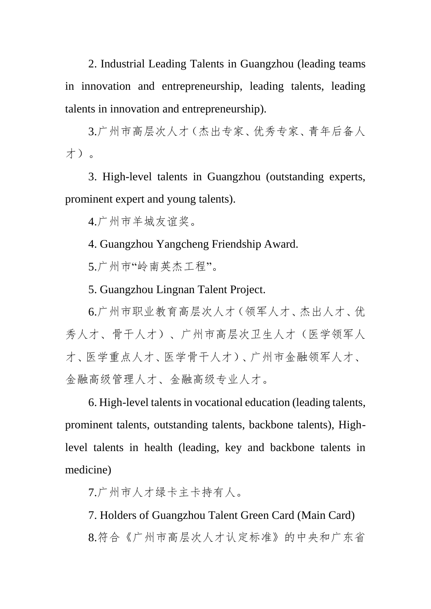2. Industrial Leading Talents in Guangzhou (leading teams in innovation and entrepreneurship, leading talents, leading talents in innovation and entrepreneurship).

3.广州市高层次人才(杰出专家、优秀专家、青年后备人 才)。

3. High-level talents in Guangzhou (outstanding experts, prominent expert and young talents).

4.广州市羊城友谊奖。

4. Guangzhou Yangcheng Friendship Award.

5.广州市"岭南英杰工程"。

5. Guangzhou Lingnan Talent Project.

6.广州市职业教育高层次人才(领军人才、杰出人才、优 秀人才、骨干人才)、广州市高层次卫生人才(医学领军人 才、医学重点人才、医学骨干人才)、广州市金融领军人才、 金融高级管理人才、金融高级专业人才。

6. High-level talents in vocational education (leading talents, prominent talents, outstanding talents, backbone talents), Highlevel talents in health (leading, key and backbone talents in medicine)

7.广州市人才绿卡主卡持有人。

7. Holders of Guangzhou Talent Green Card (Main Card) 8.符合《广州市高层次人才认定标准》的中央和广东省